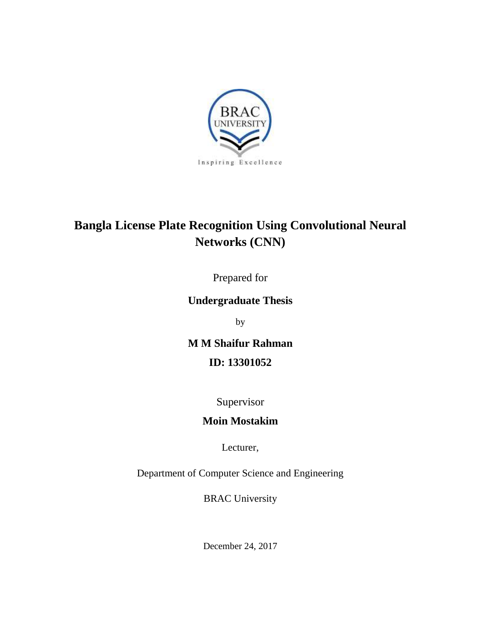

# **Bangla License Plate Recognition Using Convolutional Neural Networks (CNN)**

Prepared for

# **Undergraduate Thesis**

by

**M M Shaifur Rahman ID: 13301052**

# Supervisor

# **Moin Mostakim**

Lecturer,

Department of Computer Science and Engineering

BRAC University

December 24, 2017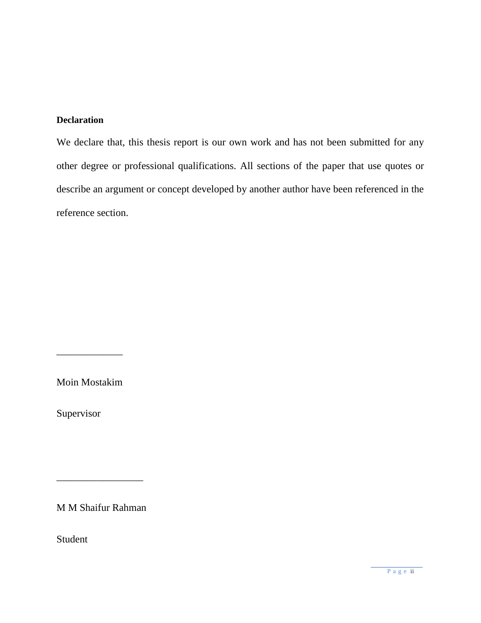## <span id="page-1-0"></span>**Declaration**

We declare that, this thesis report is our own work and has not been submitted for any other degree or professional qualifications. All sections of the paper that use quotes or describe an argument or concept developed by another author have been referenced in the reference section.

Moin Mostakim

\_\_\_\_\_\_\_\_\_\_\_\_\_

Supervisor

M M Shaifur Rahman

\_\_\_\_\_\_\_\_\_\_\_\_\_\_\_\_\_

Student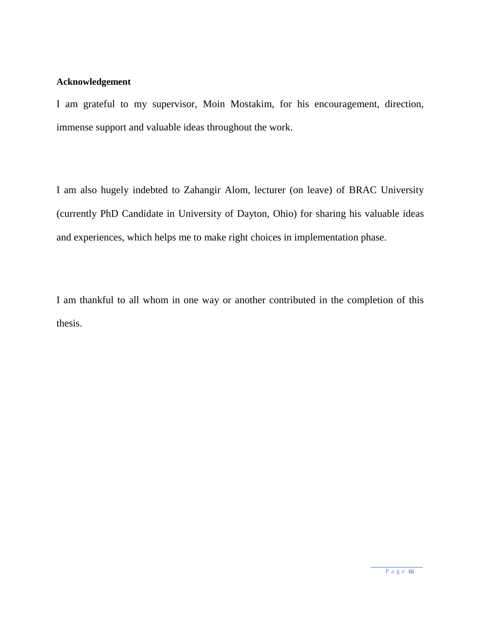#### <span id="page-2-0"></span>**Acknowledgement**

I am grateful to my supervisor, Moin Mostakim, for his encouragement, direction, immense support and valuable ideas throughout the work.

I am also hugely indebted to Zahangir Alom, lecturer (on leave) of BRAC University (currently PhD Candidate in University of Dayton, Ohio) for sharing his valuable ideas and experiences, which helps me to make right choices in implementation phase.

I am thankful to all whom in one way or another contributed in the completion of this thesis.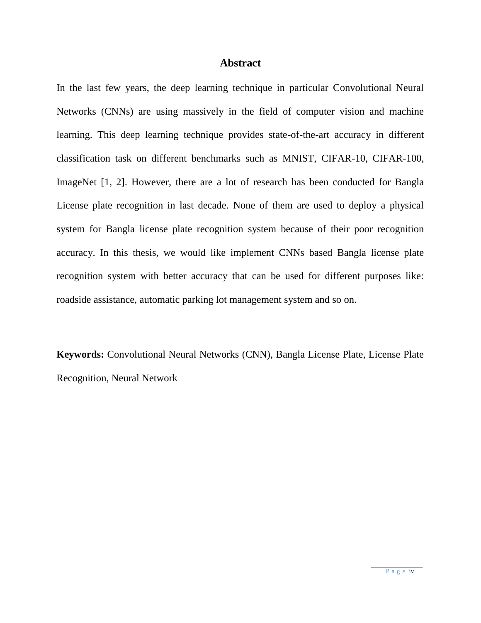#### **Abstract**

In the last few years, the deep learning technique in particular Convolutional Neural Networks (CNNs) are using massively in the field of computer vision and machine learning. This deep learning technique provides state-of-the-art accuracy in different classification task on different benchmarks such as MNIST, CIFAR-10, CIFAR-100, ImageNet [1, 2]. However, there are a lot of research has been conducted for Bangla License plate recognition in last decade. None of them are used to deploy a physical system for Bangla license plate recognition system because of their poor recognition accuracy. In this thesis, we would like implement CNNs based Bangla license plate recognition system with better accuracy that can be used for different purposes like: roadside assistance, automatic parking lot management system and so on.

**Keywords:** Convolutional Neural Networks (CNN), Bangla License Plate, License Plate Recognition, Neural Network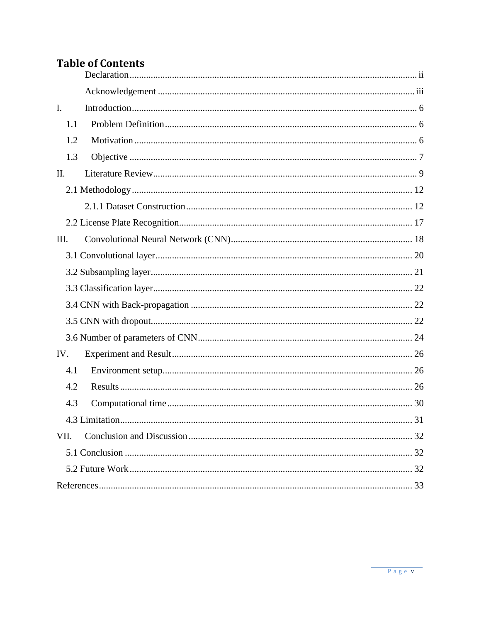# **Table of Contents**

| $\mathbf{I}$ . |  |  |  |  |  |
|----------------|--|--|--|--|--|
| 1.1            |  |  |  |  |  |
| 1.2            |  |  |  |  |  |
| 1.3            |  |  |  |  |  |
| II.            |  |  |  |  |  |
|                |  |  |  |  |  |
|                |  |  |  |  |  |
|                |  |  |  |  |  |
| Ш.             |  |  |  |  |  |
|                |  |  |  |  |  |
|                |  |  |  |  |  |
|                |  |  |  |  |  |
|                |  |  |  |  |  |
|                |  |  |  |  |  |
|                |  |  |  |  |  |
| IV.            |  |  |  |  |  |
| 4.1            |  |  |  |  |  |
| 4.2            |  |  |  |  |  |
| 4.3            |  |  |  |  |  |
|                |  |  |  |  |  |
| VII.           |  |  |  |  |  |
|                |  |  |  |  |  |
|                |  |  |  |  |  |
|                |  |  |  |  |  |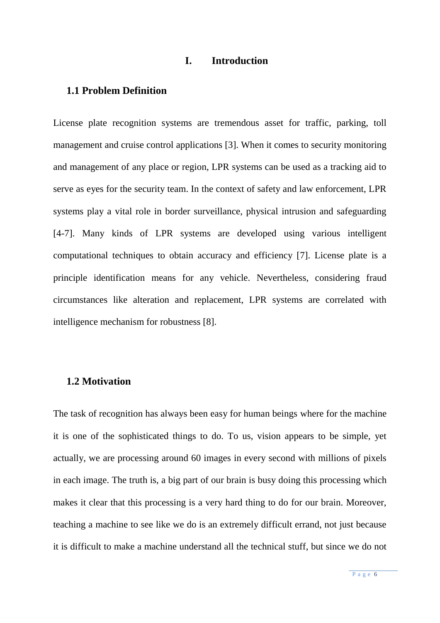#### **I. Introduction**

#### <span id="page-5-1"></span><span id="page-5-0"></span>**1.1 Problem Definition**

License plate recognition systems are tremendous asset for traffic, parking, toll management and cruise control applications [3]. When it comes to security monitoring and management of any place or region, LPR systems can be used as a tracking aid to serve as eyes for the security team. In the context of safety and law enforcement, LPR systems play a vital role in border surveillance, physical intrusion and safeguarding [4-7]. Many kinds of LPR systems are developed using various intelligent computational techniques to obtain accuracy and efficiency [7]. License plate is a principle identification means for any vehicle. Nevertheless, considering fraud circumstances like alteration and replacement, LPR systems are correlated with intelligence mechanism for robustness [8].

## <span id="page-5-2"></span>**1.2 Motivation**

The task of recognition has always been easy for human beings where for the machine it is one of the sophisticated things to do. To us, vision appears to be simple, yet actually, we are processing around 60 images in every second with millions of pixels in each image. The truth is, a big part of our brain is busy doing this processing which makes it clear that this processing is a very hard thing to do for our brain. Moreover, teaching a machine to see like we do is an extremely difficult errand, not just because it is difficult to make a machine understand all the technical stuff, but since we do not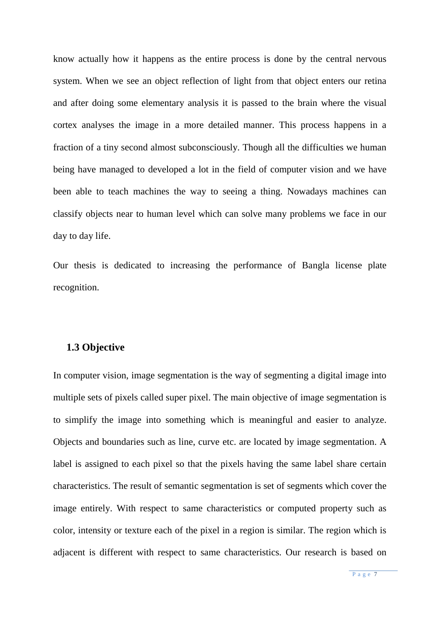know actually how it happens as the entire process is done by the central nervous system. When we see an object reflection of light from that object enters our retina and after doing some elementary analysis it is passed to the brain where the visual cortex analyses the image in a more detailed manner. This process happens in a fraction of a tiny second almost subconsciously. Though all the difficulties we human being have managed to developed a lot in the field of computer vision and we have been able to teach machines the way to seeing a thing. Nowadays machines can classify objects near to human level which can solve many problems we face in our day to day life.

Our thesis is dedicated to increasing the performance of Bangla license plate recognition.

#### <span id="page-6-0"></span>**1.3 Objective**

In computer vision, image segmentation is the way of segmenting a digital image into multiple sets of pixels called super pixel. The main objective of image segmentation is to simplify the image into something which is meaningful and easier to analyze. Objects and boundaries such as line, curve etc. are located by image segmentation. A label is assigned to each pixel so that the pixels having the same label share certain characteristics. The result of semantic segmentation is set of segments which cover the image entirely. With respect to same characteristics or computed property such as color, intensity or texture each of the pixel in a region is similar. The region which is adjacent is different with respect to same characteristics. Our research is based on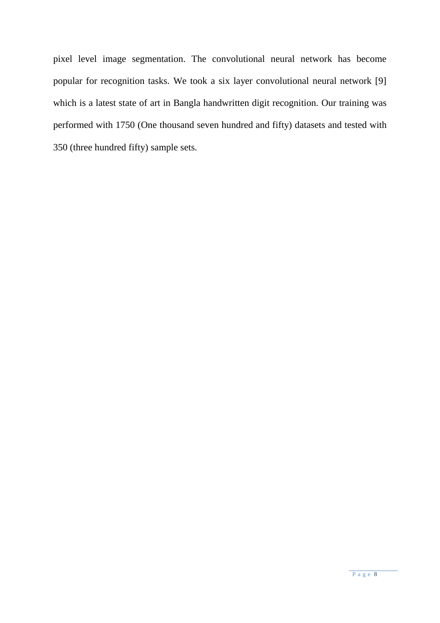pixel level image segmentation. The convolutional neural network has become popular for recognition tasks. We took a six layer convolutional neural network [9] which is a latest state of art in Bangla handwritten digit recognition. Our training was performed with 1750 (One thousand seven hundred and fifty) datasets and tested with 350 (three hundred fifty) sample sets.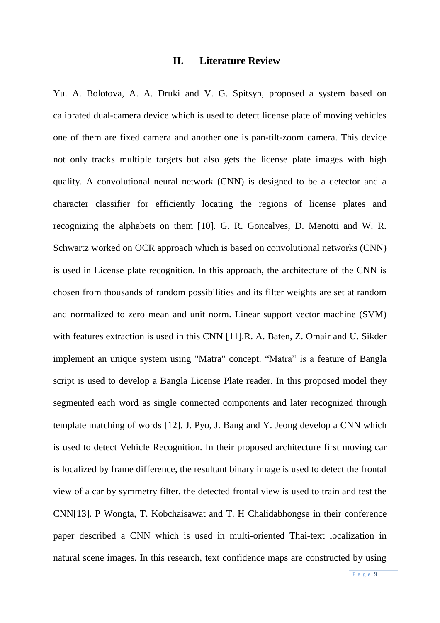#### **II. Literature Review**

<span id="page-8-0"></span>Yu. A. Bolotova, A. A. Druki and V. G. Spitsyn, proposed a system based on calibrated dual-camera device which is used to detect license plate of moving vehicles one of them are fixed camera and another one is pan-tilt-zoom camera. This device not only tracks multiple targets but also gets the license plate images with high quality. A convolutional neural network (CNN) is designed to be a detector and a character classifier for efficiently locating the regions of license plates and recognizing the alphabets on them [10]. G. R. Goncalves, D. Menotti and W. R. Schwartz worked on OCR approach which is based on convolutional networks (CNN) is used in License plate recognition. In this approach, the architecture of the CNN is chosen from thousands of random possibilities and its filter weights are set at random and normalized to zero mean and unit norm. Linear support vector machine (SVM) with features extraction is used in this CNN [11].R. A. Baten, Z. Omair and U. Sikder implement an unique system using "Matra" concept. "Matra" is a feature of Bangla script is used to develop a Bangla License Plate reader. In this proposed model they segmented each word as single connected components and later recognized through template matching of words [12]. J. Pyo, J. Bang and Y. Jeong develop a CNN which is used to detect Vehicle Recognition. In their proposed architecture first moving car is localized by frame difference, the resultant binary image is used to detect the frontal view of a car by symmetry filter, the detected frontal view is used to train and test the CNN[13]. P Wongta, T. Kobchaisawat and T. H Chalidabhongse in their conference paper described a CNN which is used in multi-oriented Thai-text localization in natural scene images. In this research, text confidence maps are constructed by using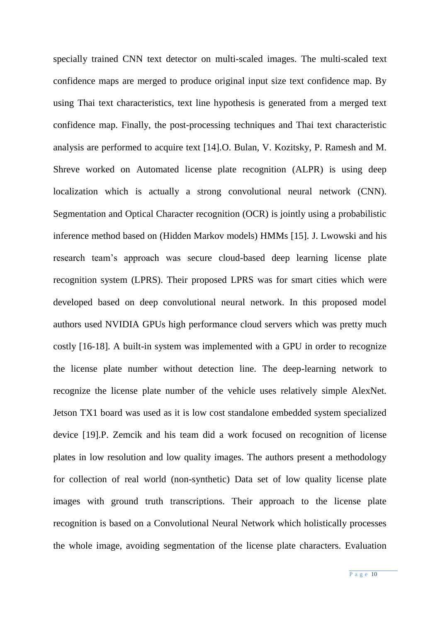specially trained CNN text detector on multi-scaled images. The multi-scaled text confidence maps are merged to produce original input size text confidence map. By using Thai text characteristics, text line hypothesis is generated from a merged text confidence map. Finally, the post-processing techniques and Thai text characteristic analysis are performed to acquire text [14].O. Bulan, V. Kozitsky, P. Ramesh and M. Shreve worked on Automated license plate recognition (ALPR) is using deep localization which is actually a strong convolutional neural network (CNN). Segmentation and Optical Character recognition (OCR) is jointly using a probabilistic inference method based on (Hidden Markov models) HMMs [15]. J. Lwowski and his research team's approach was secure cloud-based deep learning license plate recognition system (LPRS). Their proposed LPRS was for smart cities which were developed based on deep convolutional neural network. In this proposed model authors used NVIDIA GPUs high performance cloud servers which was pretty much costly [16-18]. A built-in system was implemented with a GPU in order to recognize the license plate number without detection line. The deep-learning network to recognize the license plate number of the vehicle uses relatively simple AlexNet. Jetson TX1 board was used as it is low cost standalone embedded system specialized device [19].P. Zemcik and his team did a work focused on recognition of license plates in low resolution and low quality images. The authors present a methodology for collection of real world (non-synthetic) Data set of low quality license plate images with ground truth transcriptions. Their approach to the license plate recognition is based on a Convolutional Neural Network which holistically processes the whole image, avoiding segmentation of the license plate characters. Evaluation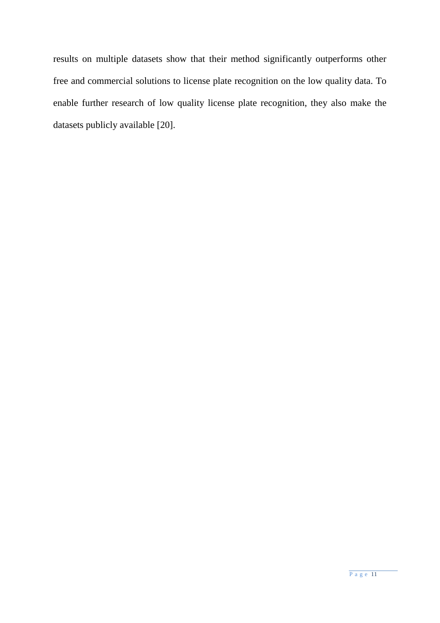<span id="page-10-0"></span>results on multiple datasets show that their method significantly outperforms other free and commercial solutions to license plate recognition on the low quality data. To enable further research of low quality license plate recognition, they also make the datasets publicly available [20].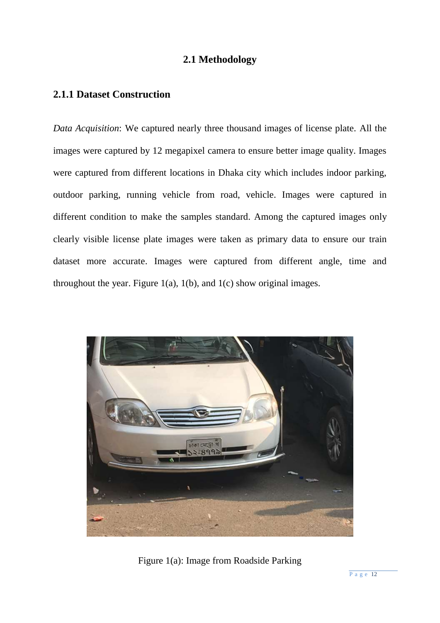# **2.1 Methodology**

# <span id="page-11-0"></span>**2.1.1 Dataset Construction**

*Data Acquisition*: We captured nearly three thousand images of license plate. All the images were captured by 12 megapixel camera to ensure better image quality. Images were captured from different locations in Dhaka city which includes indoor parking, outdoor parking, running vehicle from road, vehicle. Images were captured in different condition to make the samples standard. Among the captured images only clearly visible license plate images were taken as primary data to ensure our train dataset more accurate. Images were captured from different angle, time and throughout the year. Figure  $1(a)$ ,  $1(b)$ , and  $1(c)$  show original images.



Figure 1(a): Image from Roadside Parking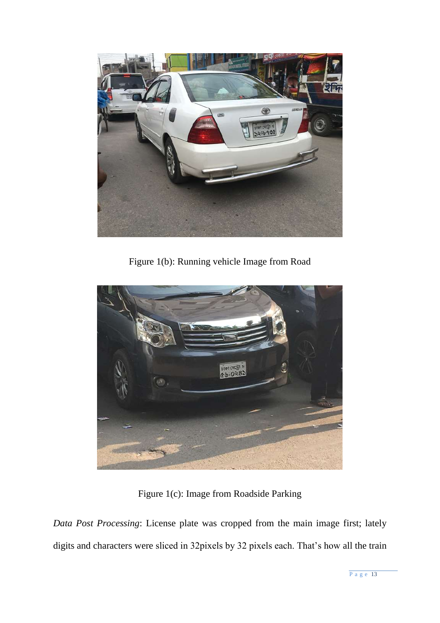

Figure 1(b): Running vehicle Image from Road



Figure 1(c): Image from Roadside Parking

*Data Post Processing*: License plate was cropped from the main image first; lately digits and characters were sliced in 32pixels by 32 pixels each. That's how all the train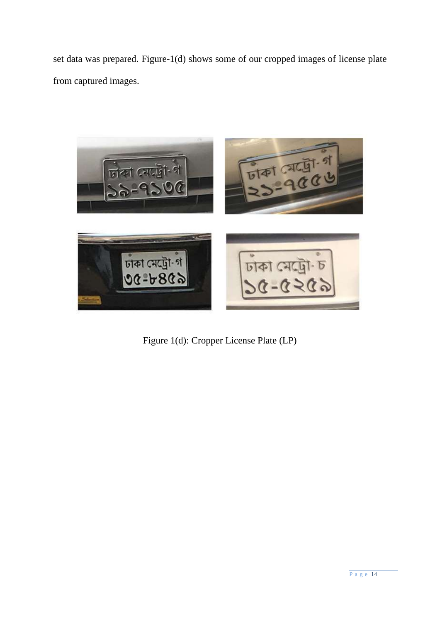set data was prepared. Figure-1(d) shows some of our cropped images of license plate from captured images.



Figure 1(d): Cropper License Plate (LP)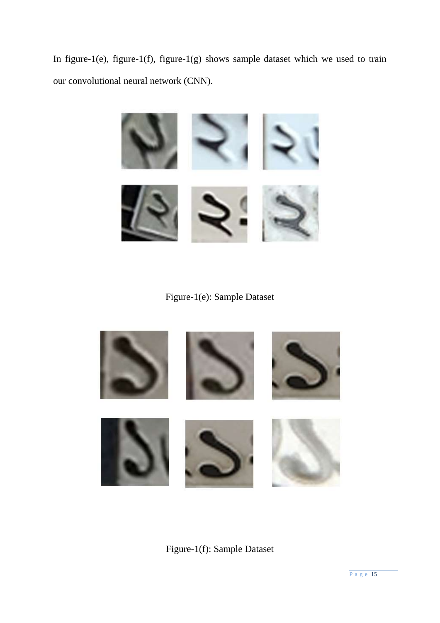In figure-1(e), figure-1(f), figure-1(g) shows sample dataset which we used to train our convolutional neural network (CNN).



Figure-1(e): Sample Dataset



Figure-1(f): Sample Dataset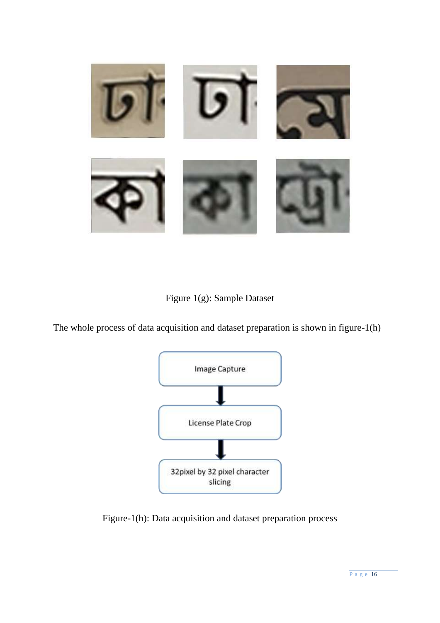

# Figure 1(g): Sample Dataset

The whole process of data acquisition and dataset preparation is shown in figure-1(h)



Figure-1(h): Data acquisition and dataset preparation process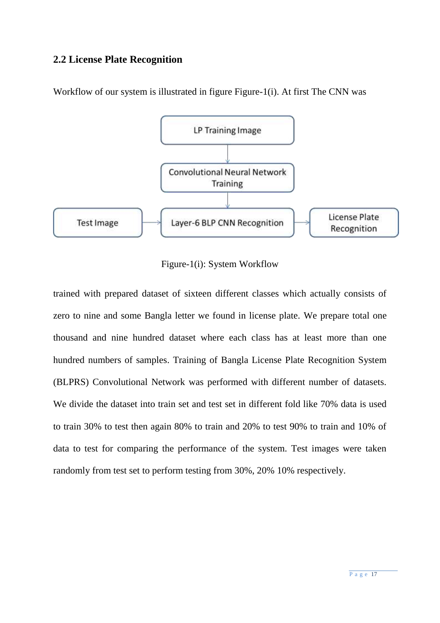# <span id="page-16-0"></span>**2.2 License Plate Recognition**



Workflow of our system is illustrated in figure Figure-1(i). At first The CNN was

Figure-1(i): System Workflow

trained with prepared dataset of sixteen different classes which actually consists of zero to nine and some Bangla letter we found in license plate. We prepare total one thousand and nine hundred dataset where each class has at least more than one hundred numbers of samples. Training of Bangla License Plate Recognition System (BLPRS) Convolutional Network was performed with different number of datasets. We divide the dataset into train set and test set in different fold like 70% data is used to train 30% to test then again 80% to train and 20% to test 90% to train and 10% of data to test for comparing the performance of the system. Test images were taken randomly from test set to perform testing from 30%, 20% 10% respectively.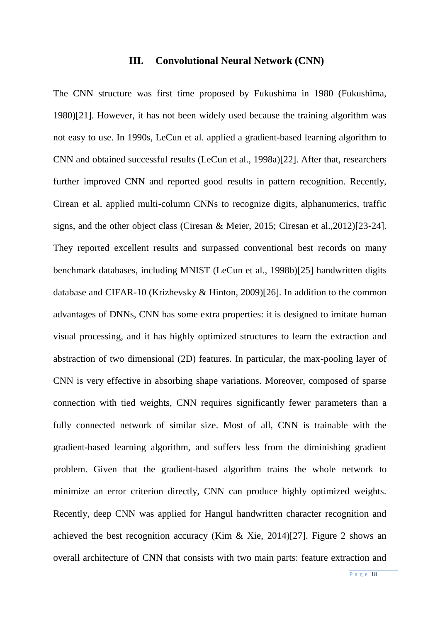#### **III. Convolutional Neural Network (CNN)**

<span id="page-17-0"></span>The CNN structure was first time proposed by Fukushima in 1980 (Fukushima, 1980)[21]. However, it has not been widely used because the training algorithm was not easy to use. In 1990s, LeCun et al. applied a gradient-based learning algorithm to CNN and obtained successful results (LeCun et al., 1998a)[22]. After that, researchers further improved CNN and reported good results in pattern recognition. Recently, Cirean et al. applied multi-column CNNs to recognize digits, alphanumerics, traffic signs, and the other object class (Ciresan & Meier, 2015; Ciresan et al.,2012)[23-24]. They reported excellent results and surpassed conventional best records on many benchmark databases, including MNIST (LeCun et al., 1998b)[25] handwritten digits database and CIFAR-10 (Krizhevsky & Hinton, 2009)[26]. In addition to the common advantages of DNNs, CNN has some extra properties: it is designed to imitate human visual processing, and it has highly optimized structures to learn the extraction and abstraction of two dimensional (2D) features. In particular, the max-pooling layer of CNN is very effective in absorbing shape variations. Moreover, composed of sparse connection with tied weights, CNN requires significantly fewer parameters than a fully connected network of similar size. Most of all, CNN is trainable with the gradient-based learning algorithm, and suffers less from the diminishing gradient problem. Given that the gradient-based algorithm trains the whole network to minimize an error criterion directly, CNN can produce highly optimized weights. Recently, deep CNN was applied for Hangul handwritten character recognition and achieved the best recognition accuracy (Kim & Xie, 2014)[27]. Figure 2 shows an overall architecture of CNN that consists with two main parts: feature extraction and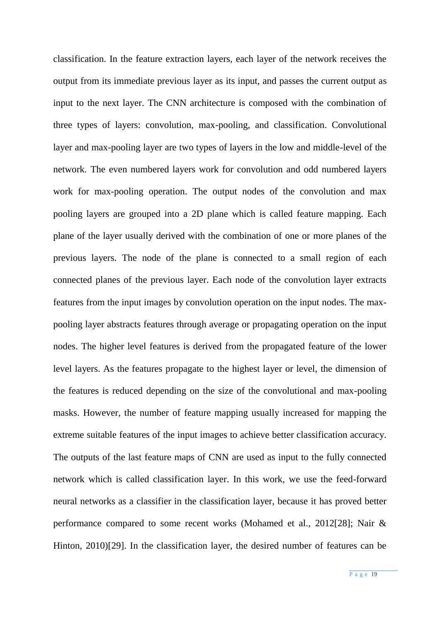classification. In the feature extraction layers, each layer of the network receives the output from its immediate previous layer as its input, and passes the current output as input to the next layer. The CNN architecture is composed with the combination of three types of layers: convolution, max-pooling, and classification. Convolutional layer and max-pooling layer are two types of layers in the low and middle-level of the network. The even numbered layers work for convolution and odd numbered layers work for max-pooling operation. The output nodes of the convolution and max pooling layers are grouped into a 2D plane which is called feature mapping. Each plane of the layer usually derived with the combination of one or more planes of the previous layers. The node of the plane is connected to a small region of each connected planes of the previous layer. Each node of the convolution layer extracts features from the input images by convolution operation on the input nodes. The maxpooling layer abstracts features through average or propagating operation on the input nodes. The higher level features is derived from the propagated feature of the lower level layers. As the features propagate to the highest layer or level, the dimension of the features is reduced depending on the size of the convolutional and max-pooling masks. However, the number of feature mapping usually increased for mapping the extreme suitable features of the input images to achieve better classification accuracy. The outputs of the last feature maps of CNN are used as input to the fully connected network which is called classification layer. In this work, we use the feed-forward neural networks as a classifier in the classification layer, because it has proved better performance compared to some recent works (Mohamed et al., 2012[28]; Nair & Hinton, 2010)[29]. In the classification layer, the desired number of features can be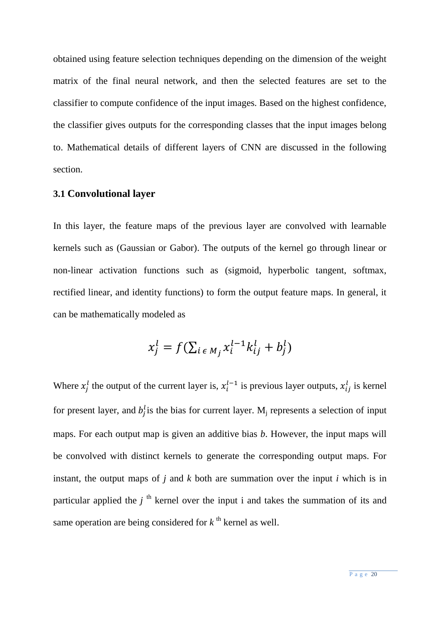obtained using feature selection techniques depending on the dimension of the weight matrix of the final neural network, and then the selected features are set to the classifier to compute confidence of the input images. Based on the highest confidence, the classifier gives outputs for the corresponding classes that the input images belong to. Mathematical details of different layers of CNN are discussed in the following section.

### <span id="page-19-0"></span>**3.1 Convolutional layer**

In this layer, the feature maps of the previous layer are convolved with learnable kernels such as (Gaussian or Gabor). The outputs of the kernel go through linear or non-linear activation functions such as (sigmoid, hyperbolic tangent, softmax, rectified linear, and identity functions) to form the output feature maps. In general, it can be mathematically modeled as

$$
x_j^l = f(\sum_{i \in M_j} x_i^{l-1} k_{ij}^l + b_j^l)
$$

Where  $x_j^l$  the output of the current layer is,  $x_i^{l-1}$  is previous layer outputs,  $x_{ij}^l$  is kernel for present layer, and  $b_j^l$  is the bias for current layer. M<sub>j</sub> represents a selection of input maps. For each output map is given an additive bias *b*. However, the input maps will be convolved with distinct kernels to generate the corresponding output maps. For instant, the output maps of *j* and *k* both are summation over the input *i* which is in particular applied the  $j<sup>th</sup>$  kernel over the input i and takes the summation of its and same operation are being considered for  $k^{\text{th}}$  kernel as well.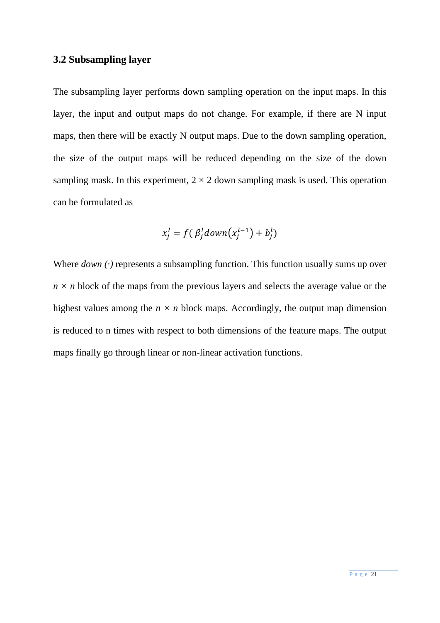# <span id="page-20-0"></span>**3.2 Subsampling layer**

The subsampling layer performs down sampling operation on the input maps. In this layer, the input and output maps do not change. For example, if there are N input maps, then there will be exactly N output maps. Due to the down sampling operation, the size of the output maps will be reduced depending on the size of the down sampling mask. In this experiment,  $2 \times 2$  down sampling mask is used. This operation can be formulated as

$$
x_j^l = f(\beta_j^l \text{down}(x_j^{l-1}) + b_j^l)
$$

Where *down* (·) represents a subsampling function. This function usually sums up over  $n \times n$  block of the maps from the previous layers and selects the average value or the highest values among the  $n \times n$  block maps. Accordingly, the output map dimension is reduced to n times with respect to both dimensions of the feature maps. The output maps finally go through linear or non-linear activation functions.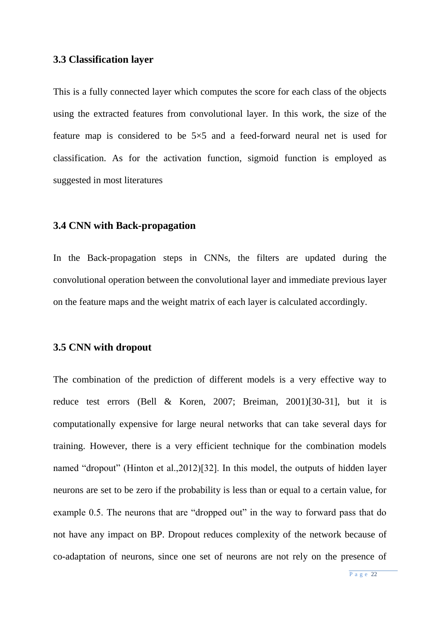#### <span id="page-21-0"></span>**3.3 Classification layer**

This is a fully connected layer which computes the score for each class of the objects using the extracted features from convolutional layer. In this work, the size of the feature map is considered to be 5×5 and a feed-forward neural net is used for classification. As for the activation function, sigmoid function is employed as suggested in most literatures

### <span id="page-21-1"></span>**3.4 CNN with Back-propagation**

<span id="page-21-2"></span>In the Back-propagation steps in CNNs, the filters are updated during the convolutional operation between the convolutional layer and immediate previous layer on the feature maps and the weight matrix of each layer is calculated accordingly.

#### **3.5 CNN with dropout**

The combination of the prediction of different models is a very effective way to reduce test errors (Bell & Koren, 2007; Breiman, 2001)[30-31], but it is computationally expensive for large neural networks that can take several days for training. However, there is a very efficient technique for the combination models named "dropout" (Hinton et al.,2012)[32]. In this model, the outputs of hidden layer neurons are set to be zero if the probability is less than or equal to a certain value, for example 0.5. The neurons that are "dropped out" in the way to forward pass that do not have any impact on BP. Dropout reduces complexity of the network because of co-adaptation of neurons, since one set of neurons are not rely on the presence of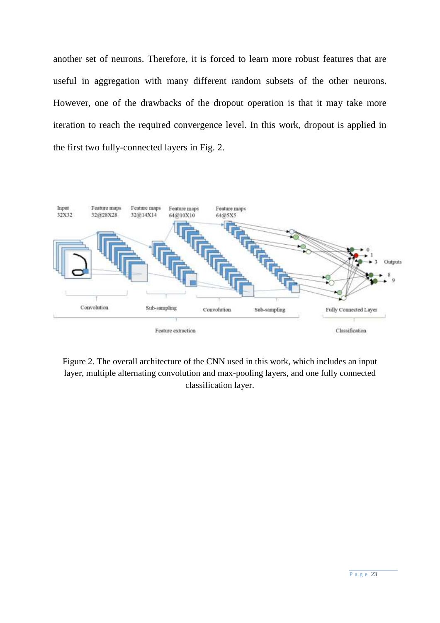another set of neurons. Therefore, it is forced to learn more robust features that are useful in aggregation with many different random subsets of the other neurons. However, one of the drawbacks of the dropout operation is that it may take more iteration to reach the required convergence level. In this work, dropout is applied in the first two fully-connected layers in Fig. 2.



Figure 2. The overall architecture of the CNN used in this work, which includes an input layer, multiple alternating convolution and max-pooling layers, and one fully connected classification layer.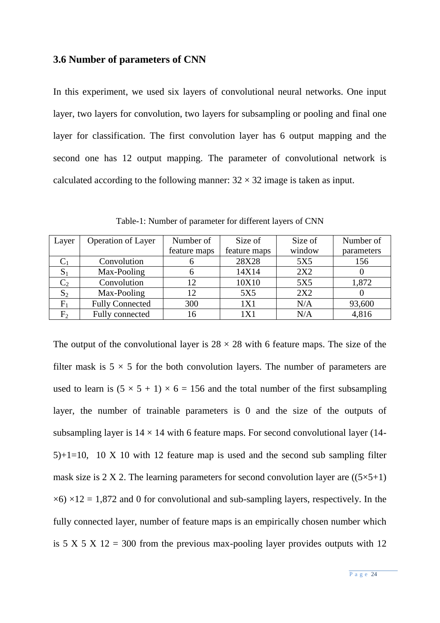#### <span id="page-23-0"></span>**3.6 Number of parameters of CNN**

In this experiment, we used six layers of convolutional neural networks. One input layer, two layers for convolution, two layers for subsampling or pooling and final one layer for classification. The first convolution layer has 6 output mapping and the second one has 12 output mapping. The parameter of convolutional network is calculated according to the following manner:  $32 \times 32$  image is taken as input.

Table-1: Number of parameter for different layers of CNN

| Layer          | <b>Operation of Layer</b> | Number of    | Size of      | Size of | Number of  |
|----------------|---------------------------|--------------|--------------|---------|------------|
|                |                           | feature maps | feature maps | window  | parameters |
| $\mathrm{C}_1$ | Convolution               |              | 28X28        | 5X5     | 156        |
| $S_1$          | Max-Pooling               |              | 14X14        | 2X2     |            |
| C <sub>2</sub> | Convolution               | 12           | 10X10        | 5X5     | 1,872      |
| $S_2$          | Max-Pooling               | 12           | 5X5          | 2X2     |            |
| $F_1$          | <b>Fully Connected</b>    | 300          | 1X1          | N/A     | 93,600     |
| F <sub>2</sub> | Fully connected           | 16           | 1X1          | N/A     | 4,816      |

The output of the convolutional layer is  $28 \times 28$  with 6 feature maps. The size of the filter mask is  $5 \times 5$  for the both convolution layers. The number of parameters are used to learn is  $(5 \times 5 + 1) \times 6 = 156$  and the total number of the first subsampling layer, the number of trainable parameters is 0 and the size of the outputs of subsampling layer is  $14 \times 14$  with 6 feature maps. For second convolutional layer (14-5)+1=10, 10 X 10 with 12 feature map is used and the second sub sampling filter mask size is 2 X 2. The learning parameters for second convolution layer are  $((5 \times 5+1)$  $\times$ 6)  $\times$ 12 = 1,872 and 0 for convolutional and sub-sampling layers, respectively. In the fully connected layer, number of feature maps is an empirically chosen number which is  $5 \times 5 \times 12 = 300$  from the previous max-pooling layer provides outputs with 12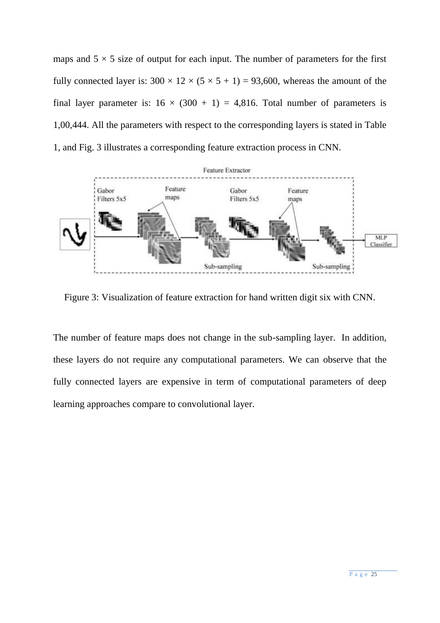maps and  $5 \times 5$  size of output for each input. The number of parameters for the first fully connected layer is:  $300 \times 12 \times (5 \times 5 + 1) = 93,600$ , whereas the amount of the final layer parameter is:  $16 \times (300 + 1) = 4,816$ . Total number of parameters is 1,00,444. All the parameters with respect to the corresponding layers is stated in Table 1, and Fig. 3 illustrates a corresponding feature extraction process in CNN.



Figure 3: Visualization of feature extraction for hand written digit six with CNN.

The number of feature maps does not change in the sub-sampling layer. In addition, these layers do not require any computational parameters. We can observe that the fully connected layers are expensive in term of computational parameters of deep learning approaches compare to convolutional layer.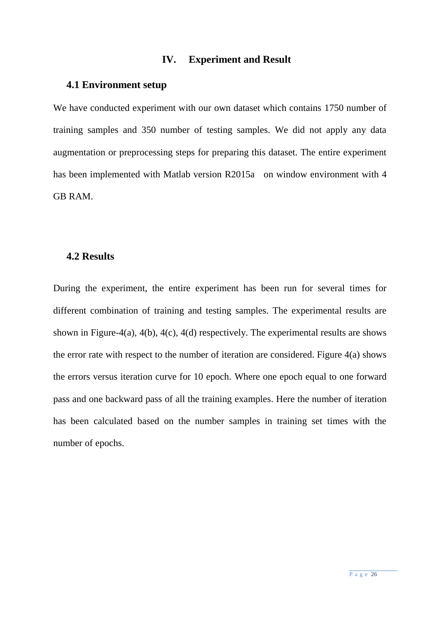#### **IV. Experiment and Result**

#### <span id="page-25-1"></span><span id="page-25-0"></span>**4.1 Environment setup**

We have conducted experiment with our own dataset which contains 1750 number of training samples and 350 number of testing samples. We did not apply any data augmentation or preprocessing steps for preparing this dataset. The entire experiment has been implemented with Matlab version R2015a on window environment with 4 GB RAM.

## <span id="page-25-2"></span>**4.2 Results**

During the experiment, the entire experiment has been run for several times for different combination of training and testing samples. The experimental results are shown in Figure-4(a), 4(b), 4(c), 4(d) respectively. The experimental results are shows the error rate with respect to the number of iteration are considered. Figure 4(a) shows the errors versus iteration curve for 10 epoch. Where one epoch equal to one forward pass and one backward pass of all the training examples. Here the number of iteration has been calculated based on the number samples in training set times with the number of epochs.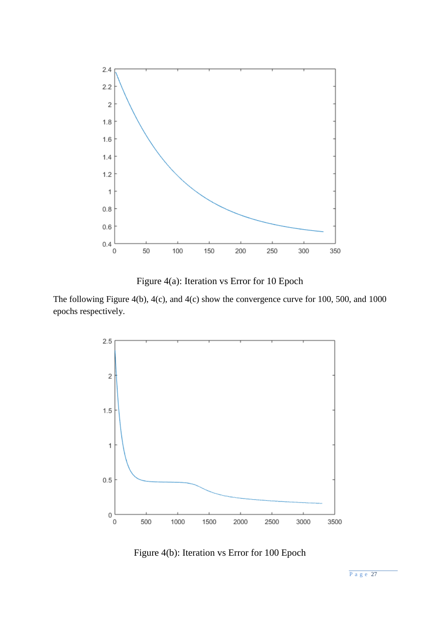

Figure 4(a): Iteration vs Error for 10 Epoch

The following Figure 4(b), 4(c), and 4(c) show the convergence curve for 100, 500, and 1000 epochs respectively.



Figure 4(b): Iteration vs Error for 100 Epoch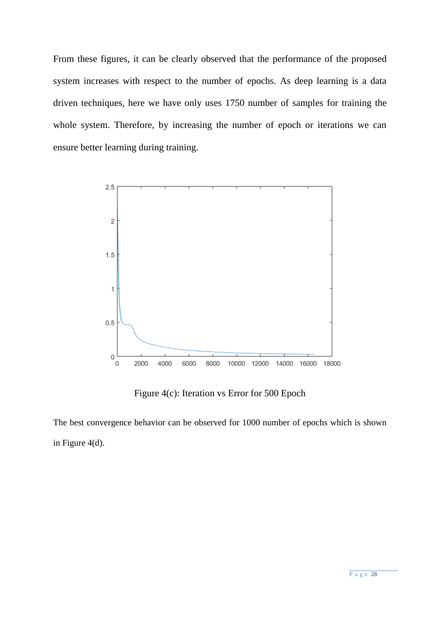From these figures, it can be clearly observed that the performance of the proposed system increases with respect to the number of epochs. As deep learning is a data driven techniques, here we have only uses 1750 number of samples for training the whole system. Therefore, by increasing the number of epoch or iterations we can ensure better learning during training.



Figure 4(c): Iteration vs Error for 500 Epoch

The best convergence behavior can be observed for 1000 number of epochs which is shown in Figure 4(d).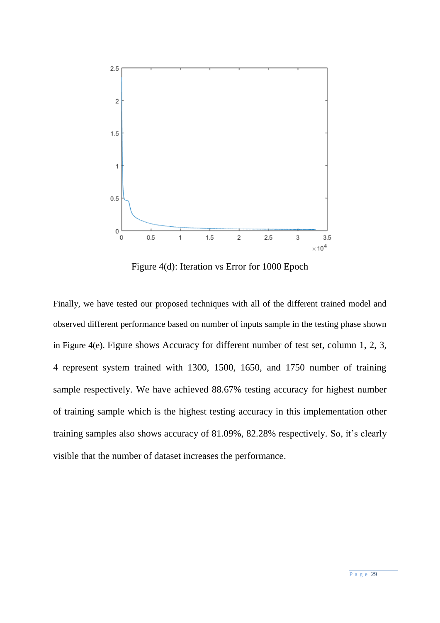

Figure 4(d): Iteration vs Error for 1000 Epoch

Finally, we have tested our proposed techniques with all of the different trained model and observed different performance based on number of inputs sample in the testing phase shown in Figure 4(e). Figure shows Accuracy for different number of test set, column 1, 2, 3, 4 represent system trained with 1300, 1500, 1650, and 1750 number of training sample respectively. We have achieved 88.67% testing accuracy for highest number of training sample which is the highest testing accuracy in this implementation other training samples also shows accuracy of 81.09%, 82.28% respectively. So, it's clearly visible that the number of dataset increases the performance.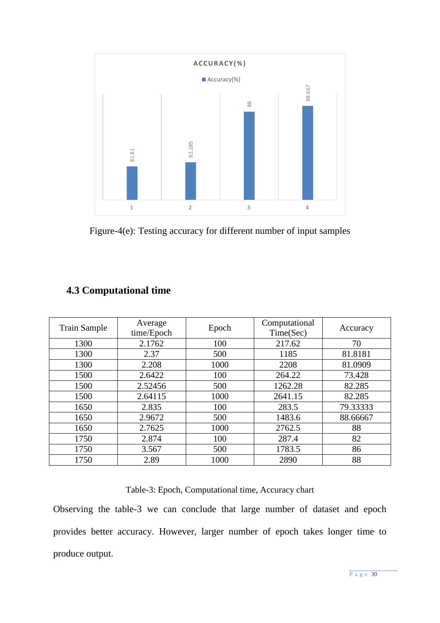

Figure-4(e): Testing accuracy for different number of input samples

| <b>Train Sample</b> | Average<br>time/Epoch | Epoch | Computational<br>Time(Sec) | Accuracy |
|---------------------|-----------------------|-------|----------------------------|----------|
| 1300                | 2.1762                | 100   | 217.62                     | 70       |
| 1300                | 2.37                  | 500   | 1185                       | 81.8181  |
| 1300                | 2.208                 | 1000  | 2208                       | 81.0909  |
| 1500                | 2.6422                | 100   | 264.22                     | 73.428   |
| 1500                | 2.52456               | 500   | 1262.28                    | 82.285   |
| 1500                | 2.64115               | 1000  | 2641.15                    | 82.285   |
| 1650                | 2.835                 | 100   | 283.5                      | 79.33333 |
| 1650                | 2.9672                | 500   | 1483.6                     | 88.66667 |
| 1650                | 2.7625                | 1000  | 2762.5                     | 88       |
| 1750                | 2.874                 | 100   | 287.4                      | 82       |
| 1750                | 3.567                 | 500   | 1783.5                     | 86       |
| 1750                | 2.89                  | 1000  | 2890                       | 88       |

# <span id="page-29-0"></span>**4.3 Computational time**

Table-3: Epoch, Computational time, Accuracy chart

Observing the table-3 we can conclude that large number of dataset and epoch provides better accuracy. However, larger number of epoch takes longer time to produce output.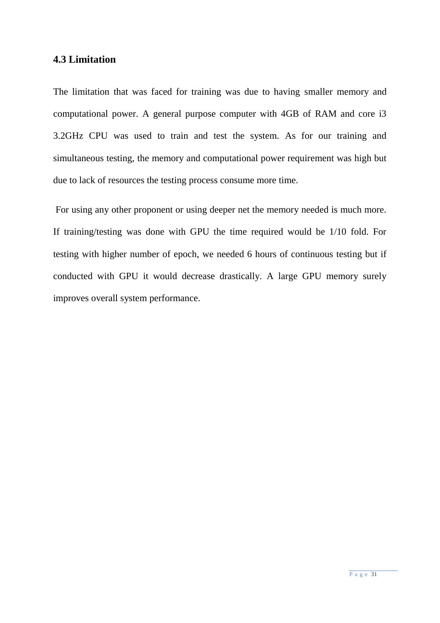### <span id="page-30-0"></span>**4.3 Limitation**

The limitation that was faced for training was due to having smaller memory and computational power. A general purpose computer with 4GB of RAM and core i3 3.2GHz CPU was used to train and test the system. As for our training and simultaneous testing, the memory and computational power requirement was high but due to lack of resources the testing process consume more time.

For using any other proponent or using deeper net the memory needed is much more. If training/testing was done with GPU the time required would be 1/10 fold. For testing with higher number of epoch, we needed 6 hours of continuous testing but if conducted with GPU it would decrease drastically. A large GPU memory surely improves overall system performance.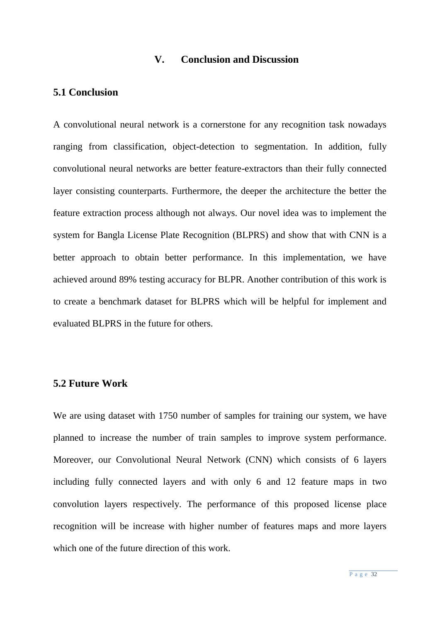#### **V. Conclusion and Discussion**

## <span id="page-31-1"></span><span id="page-31-0"></span>**5.1 Conclusion**

A convolutional neural network is a cornerstone for any recognition task nowadays ranging from classification, object-detection to segmentation. In addition, fully convolutional neural networks are better feature-extractors than their fully connected layer consisting counterparts. Furthermore, the deeper the architecture the better the feature extraction process although not always. Our novel idea was to implement the system for Bangla License Plate Recognition (BLPRS) and show that with CNN is a better approach to obtain better performance. In this implementation, we have achieved around 89% testing accuracy for BLPR. Another contribution of this work is to create a benchmark dataset for BLPRS which will be helpful for implement and evaluated BLPRS in the future for others.

# <span id="page-31-2"></span>**5.2 Future Work**

We are using dataset with 1750 number of samples for training our system, we have planned to increase the number of train samples to improve system performance. Moreover, our Convolutional Neural Network (CNN) which consists of 6 layers including fully connected layers and with only 6 and 12 feature maps in two convolution layers respectively. The performance of this proposed license place recognition will be increase with higher number of features maps and more layers which one of the future direction of this work.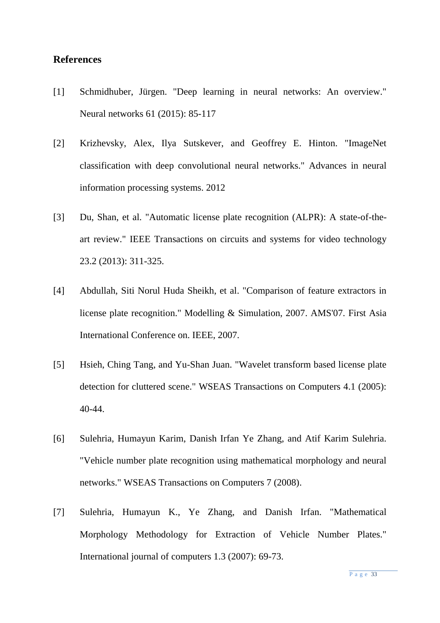## <span id="page-32-0"></span>**References**

- [1] Schmidhuber, Jürgen. "Deep learning in neural networks: An overview." Neural networks 61 (2015): 85-117
- [2] Krizhevsky, Alex, Ilya Sutskever, and Geoffrey E. Hinton. "ImageNet classification with deep convolutional neural networks." Advances in neural information processing systems. 2012
- [3] Du, Shan, et al. "Automatic license plate recognition (ALPR): A state-of-theart review." IEEE Transactions on circuits and systems for video technology 23.2 (2013): 311-325.
- [4] Abdullah, Siti Norul Huda Sheikh, et al. "Comparison of feature extractors in license plate recognition." Modelling & Simulation, 2007. AMS'07. First Asia International Conference on. IEEE, 2007.
- [5] Hsieh, Ching Tang, and Yu-Shan Juan. "Wavelet transform based license plate detection for cluttered scene." WSEAS Transactions on Computers 4.1 (2005): 40-44.
- [6] Sulehria, Humayun Karim, Danish Irfan Ye Zhang, and Atif Karim Sulehria. "Vehicle number plate recognition using mathematical morphology and neural networks." WSEAS Transactions on Computers 7 (2008).
- [7] Sulehria, Humayun K., Ye Zhang, and Danish Irfan. "Mathematical Morphology Methodology for Extraction of Vehicle Number Plates." International journal of computers 1.3 (2007): 69-73.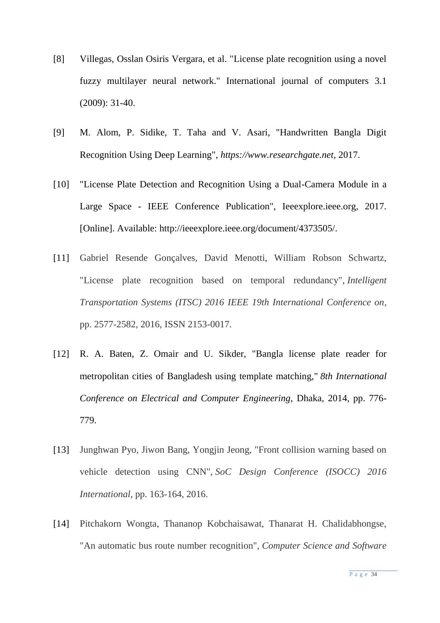- [8] Villegas, Osslan Osiris Vergara, et al. "License plate recognition using a novel fuzzy multilayer neural network." International journal of computers 3.1 (2009): 31-40.
- [9] M. Alom, P. Sidike, T. Taha and V. Asari, "Handwritten Bangla Digit Recognition Using Deep Learning", *https://www.researchgate.net*, 2017.
- [10] "License Plate Detection and Recognition Using a Dual-Camera Module in a Large Space - IEEE Conference Publication", Ieeexplore.ieee.org, 2017. [Online]. Available: http://ieeexplore.ieee.org/document/4373505/.
- [11] Gabriel Resende Gonçalves, David Menotti, William Robson Schwartz, "License plate recognition based on temporal redundancy", *Intelligent Transportation Systems (ITSC) 2016 IEEE 19th International Conference on*, pp. 2577-2582, 2016, ISSN 2153-0017.
- [12] R. A. Baten, Z. Omair and U. Sikder, "Bangla license plate reader for metropolitan cities of Bangladesh using template matching," *8th International Conference on Electrical and Computer Engineering*, Dhaka, 2014, pp. 776- 779.
- [13] Junghwan Pyo, Jiwon Bang, Yongjin Jeong, "Front collision warning based on vehicle detection using CNN", *SoC Design Conference (ISOCC) 2016 International*, pp. 163-164, 2016.
- [14] Pitchakorn Wongta, Thananop Kobchaisawat, Thanarat H. Chalidabhongse, "An automatic bus route number recognition", *Computer Science and Software*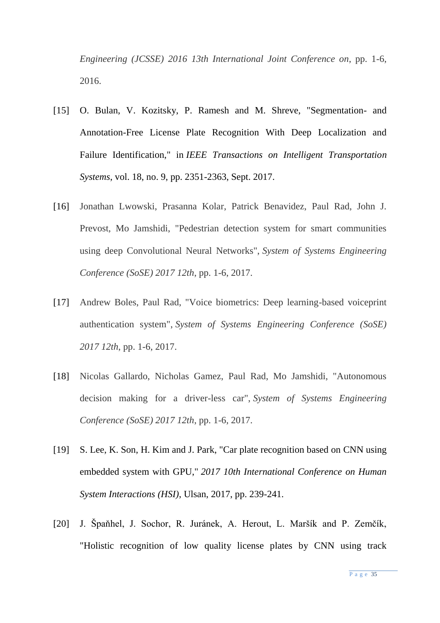*Engineering (JCSSE) 2016 13th International Joint Conference on*, pp. 1-6, 2016.

- [15] O. Bulan, V. Kozitsky, P. Ramesh and M. Shreve, "Segmentation- and Annotation-Free License Plate Recognition With Deep Localization and Failure Identification," in *IEEE Transactions on Intelligent Transportation Systems*, vol. 18, no. 9, pp. 2351-2363, Sept. 2017.
- [16] Jonathan Lwowski, Prasanna Kolar, Patrick Benavidez, Paul Rad, John J. Prevost, Mo Jamshidi, "Pedestrian detection system for smart communities using deep Convolutional Neural Networks", *System of Systems Engineering Conference (SoSE) 2017 12th*, pp. 1-6, 2017.
- [17] Andrew Boles, Paul Rad, "Voice biometrics: Deep learning-based voiceprint authentication system", *System of Systems Engineering Conference (SoSE) 2017 12th*, pp. 1-6, 2017.
- [18] Nicolas Gallardo, Nicholas Gamez, Paul Rad, Mo Jamshidi, "Autonomous decision making for a driver-less car", *System of Systems Engineering Conference (SoSE) 2017 12th*, pp. 1-6, 2017.
- [19] S. Lee, K. Son, H. Kim and J. Park, "Car plate recognition based on CNN using embedded system with GPU," *2017 10th International Conference on Human System Interactions (HSI)*, Ulsan, 2017, pp. 239-241.
- [20] J. Špaňhel, J. Sochor, R. Juránek, A. Herout, L. Maršík and P. Zemčík, "Holistic recognition of low quality license plates by CNN using track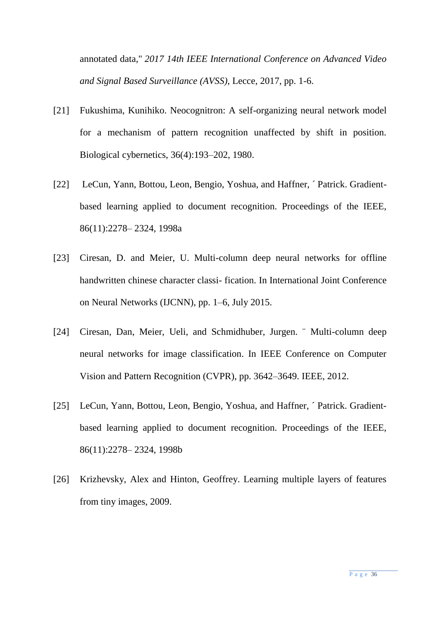annotated data," *2017 14th IEEE International Conference on Advanced Video and Signal Based Surveillance (AVSS)*, Lecce, 2017, pp. 1-6.

- [21] Fukushima, Kunihiko. Neocognitron: A self-organizing neural network model for a mechanism of pattern recognition unaffected by shift in position. Biological cybernetics, 36(4):193–202, 1980.
- [22] LeCun, Yann, Bottou, Leon, Bengio, Yoshua, and Haffner, ´ Patrick. Gradientbased learning applied to document recognition. Proceedings of the IEEE, 86(11):2278– 2324, 1998a
- [23] Ciresan, D. and Meier, U. Multi-column deep neural networks for offline handwritten chinese character classi- fication. In International Joint Conference on Neural Networks (IJCNN), pp. 1–6, July 2015.
- [24] Ciresan, Dan, Meier, Ueli, and Schmidhuber, Jurgen. ¨ Multi-column deep neural networks for image classification. In IEEE Conference on Computer Vision and Pattern Recognition (CVPR), pp. 3642–3649. IEEE, 2012.
- [25] LeCun, Yann, Bottou, Leon, Bengio, Yoshua, and Haffner, 'Patrick. Gradientbased learning applied to document recognition. Proceedings of the IEEE, 86(11):2278– 2324, 1998b
- [26] Krizhevsky, Alex and Hinton, Geoffrey. Learning multiple layers of features from tiny images, 2009.